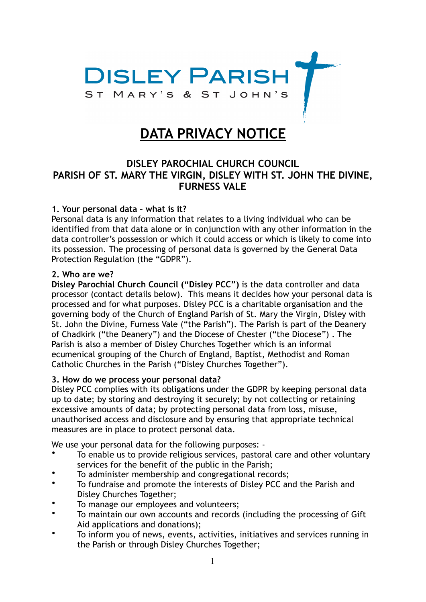

# **DATA PRIVACY NOTICE**

## **DISLEY PAROCHIAL CHURCH COUNCIL PARISH OF ST. MARY THE VIRGIN, DISLEY WITH ST. JOHN THE DIVINE, FURNESS VALE**

#### **1. Your personal data – what is it?**

Personal data is any information that relates to a living individual who can be identified from that data alone or in conjunction with any other information in the data controller's possession or which it could access or which is likely to come into its possession. The processing of personal data is governed by the General Data Protection Regulation (the "GDPR").

#### **2. Who are we?**

**Disley Parochial Church Council ("Disley PCC")** is the data controller and data processor (contact details below). This means it decides how your personal data is processed and for what purposes. Disley PCC is a charitable organisation and the governing body of the Church of England Parish of St. Mary the Virgin, Disley with St. John the Divine, Furness Vale ("the Parish"). The Parish is part of the Deanery of Chadkirk ("the Deanery") and the Diocese of Chester ("the Diocese") . The Parish is also a member of Disley Churches Together which is an informal ecumenical grouping of the Church of England, Baptist, Methodist and Roman Catholic Churches in the Parish ("Disley Churches Together").

#### **3. How do we process your personal data?**

Disley PCC complies with its obligations under the GDPR by keeping personal data up to date; by storing and destroying it securely; by not collecting or retaining excessive amounts of data; by protecting personal data from loss, misuse, unauthorised access and disclosure and by ensuring that appropriate technical measures are in place to protect personal data.

We use your personal data for the following purposes: -

- To enable us to provide religious services, pastoral care and other voluntary services for the benefit of the public in the Parish;
- To administer membership and congregational records;
- To fundraise and promote the interests of Disley PCC and the Parish and Disley Churches Together;
- To manage our employees and volunteers;<br>• To maintain our own accounts and recents
- To maintain our own accounts and records (including the processing of Gift Aid applications and donations);
- To inform you of news, events, activities, initiatives and services running in the Parish or through Disley Churches Together;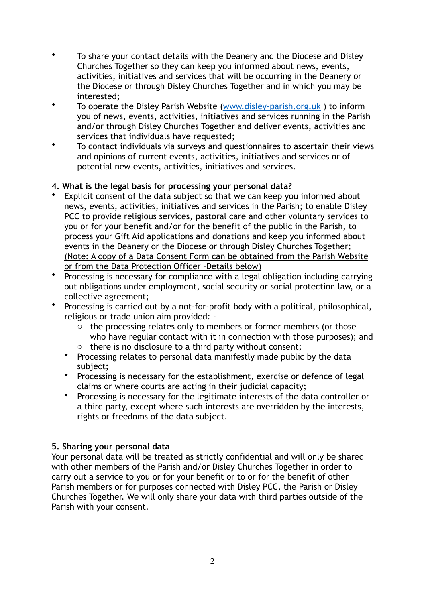- To share your contact details with the Deanery and the Diocese and Disley Churches Together so they can keep you informed about news, events, activities, initiatives and services that will be occurring in the Deanery or the Diocese or through Disley Churches Together and in which you may be interested;
- To operate the Disley Parish Website ([www.disley-parish.org.uk](http://www.disley-parish.org.uk) ) to inform you of news, events, activities, initiatives and services running in the Parish and/or through Disley Churches Together and deliver events, activities and services that individuals have requested;
- To contact individuals via surveys and questionnaires to ascertain their views and opinions of current events, activities, initiatives and services or of potential new events, activities, initiatives and services.

## **4. What is the legal basis for processing your personal data?**

- Explicit consent of the data subject so that we can keep you informed about news, events, activities, initiatives and services in the Parish; to enable Disley PCC to provide religious services, pastoral care and other voluntary services to you or for your benefit and/or for the benefit of the public in the Parish, to process your Gift Aid applications and donations and keep you informed about events in the Deanery or the Diocese or through Disley Churches Together; (Note: A copy of a Data Consent Form can be obtained from the Parish Website or from the Data Protection Officer –Details below)
- Processing is necessary for compliance with a legal obligation including carrying out obligations under employment, social security or social protection law, or a collective agreement;
- Processing is carried out by a not-for-profit body with a political, philosophical, religious or trade union aim provided:
	- o the processing relates only to members or former members (or those who have regular contact with it in connection with those purposes); and
	- o there is no disclosure to a third party without consent;
	- Processing relates to personal data manifestly made public by the data subject;
	- Processing is necessary for the establishment, exercise or defence of legal claims or where courts are acting in their judicial capacity;
	- Processing is necessary for the legitimate interests of the data controller or a third party, except where such interests are overridden by the interests, rights or freedoms of the data subject.

## **5. Sharing your personal data**

Your personal data will be treated as strictly confidential and will only be shared with other members of the Parish and/or Disley Churches Together in order to carry out a service to you or for your benefit or to or for the benefit of other Parish members or for purposes connected with Disley PCC, the Parish or Disley Churches Together. We will only share your data with third parties outside of the Parish with your consent.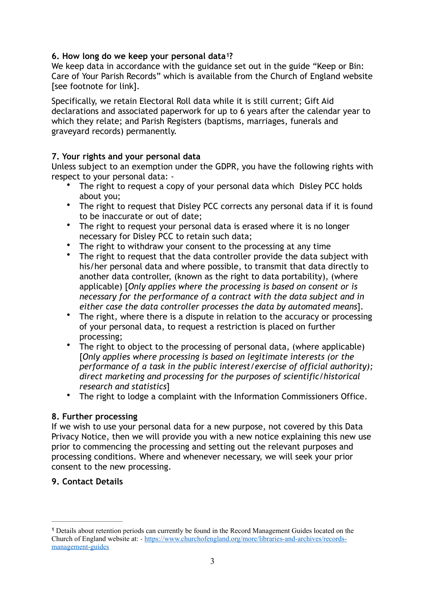## <span id="page-2-1"></span>**6. How long do we keep your personal data ?[1](#page-2-0)**

We keep data in accordance with the guidance set out in the guide "Keep or Bin: Care of Your Parish Records" which is available from the Church of England website [see footnote for link].

Specifically, we retain Electoral Roll data while it is still current; Gift Aid declarations and associated paperwork for up to 6 years after the calendar year to which they relate; and Parish Registers (baptisms, marriages, funerals and graveyard records) permanently.

#### **7. Your rights and your personal data**

Unless subject to an exemption under the GDPR, you have the following rights with respect to your personal data: -

- The right to request a copy of your personal data which Disley PCC holds about you;
- The right to request that Disley PCC corrects any personal data if it is found to be inaccurate or out of date;
- The right to request your personal data is erased where it is no longer necessary for Disley PCC to retain such data;
- The right to withdraw your consent to the processing at any time
- The right to request that the data controller provide the data subject with his/her personal data and where possible, to transmit that data directly to another data controller, (known as the right to data portability), (where applicable) [*Only applies where the processing is based on consent or is necessary for the performance of a contract with the data subject and in either case the data controller processes the data by automated means*].
- The right, where there is a dispute in relation to the accuracy or processing of your personal data, to request a restriction is placed on further processing;
- The right to object to the processing of personal data, (where applicable) [*Only applies where processing is based on legitimate interests (or the performance of a task in the public interest/exercise of official authority); direct marketing and processing for the purposes of scientific/historical research and statistics*]
- The right to lodge a complaint with the Information Commissioners Office.

#### **8. Further processing**

If we wish to use your personal data for a new purpose, not covered by this Data Privacy Notice, then we will provide you with a new notice explaining this new use prior to commencing the processing and setting out the relevant purposes and processing conditions. Where and whenever necessary, we will seek your prior consent to the new processing.

## **9. Contact Details**

<span id="page-2-0"></span>Details about retention periods can currently be found in the Record Management Guides located on the **[1](#page-2-1)** Church of England website at: - [https://www.churchofengland.org/more/libraries-and-archives/records](https://www.churchofengland.org/more/libraries-and-archives/records-management-guides)[management-guides](https://www.churchofengland.org/more/libraries-and-archives/records-management-guides)